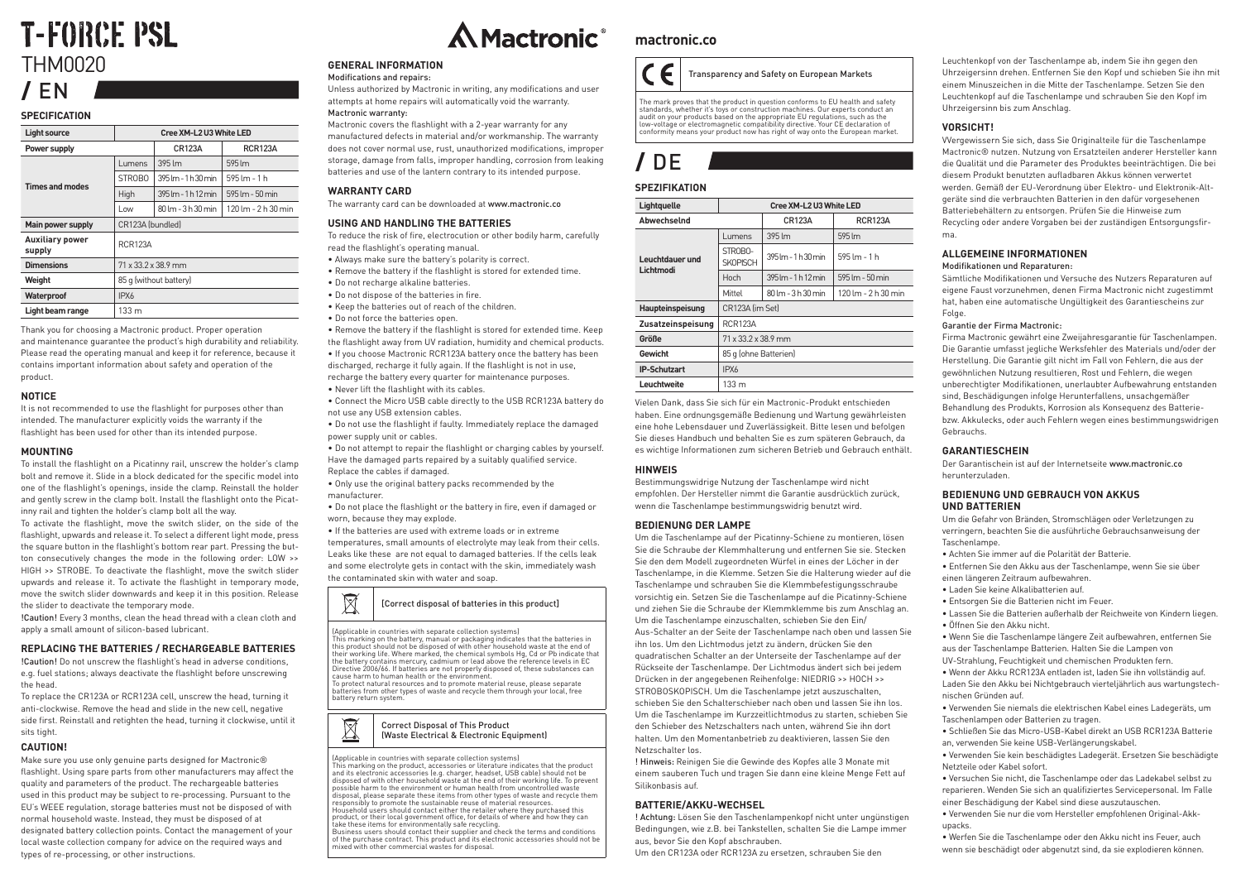## **T-FORCE PSL** THM0020 / EN

#### **SPECIFICATION**

| <b>Light source</b>              | Cree XM-L2 U3 White LED |                     |                                               |  |
|----------------------------------|-------------------------|---------------------|-----------------------------------------------|--|
| Power supply                     |                         | <b>CR123A</b>       | <b>RCR123A</b>                                |  |
| Times and modes                  | Lumens                  | 395 lm              | 595 lm                                        |  |
|                                  | STROBO                  | 395 lm - 1 h 30 min | 595 lm - 1 h                                  |  |
|                                  | High                    | 395 lm - 1 h 12 min | 595 lm - 50 min                               |  |
|                                  | Low                     | 80 lm - 3 h 30 min  | $120 \text{ Im} - 2 \text{ h} 30 \text{ min}$ |  |
| Main power supply                | CR123A (bundled)        |                     |                                               |  |
| <b>Auxiliary power</b><br>supply | <b>RCR123A</b>          |                     |                                               |  |
| <b>Dimensions</b>                | 71 x 33.2 x 38.9 mm     |                     |                                               |  |
| Weight                           | 85 q (without battery)  |                     |                                               |  |
| Waterproof                       | IPX6                    |                     |                                               |  |
| Light beam range                 | 133 <sub>m</sub>        |                     |                                               |  |

Thank you for choosing a Mactronic product. Proper operation and maintenance guarantee the product's high durability and reliability. Please read the operating manual and keep it for reference, because it contains important information about safety and operation of the product.

#### **NOTICE**

It is not recommended to use the flashlight for purposes other than intended. The manufacturer explicitly voids the warranty if the flashlight has been used for other than its intended purpose.

#### **MOUNTING**

To install the flashlight on a Picatinny rail, unscrew the holder's clamp bolt and remove it. Slide in a block dedicated for the specific model into one of the flashlight's openings, inside the clamp. Reinstall the holder and gently screw in the clamp bolt. Install the flashlight onto the Picatinny rail and tighten the holder's clamp bolt all the way.

To activate the flashlight, move the switch slider, on the side of the flashlight, upwards and release it. To select a different light mode, press the square button in the flashlight's bottom rear part. Pressing the button consecutively changes the mode in the following order: LOW >> HIGH >> STROBE. To deactivate the flashlight, move the switch slider upwards and release it. To activate the flashlight in temporary mode, move the switch slider downwards and keep it in this position. Release the slider to deactivate the temporary mode.

!Caution! Every 3 months, clean the head thread with a clean cloth and apply a small amount of silicon-based lubricant.

#### **REPLACING THE BATTERIES / RECHARGEABLE BATTERIES**

!Caution! Do not unscrew the flashlight's head in adverse conditions, e.g. fuel stations; always deactivate the flashlight before unscrewing the head.

To replace the CR123A or RCR123A cell, unscrew the head, turning it anti-clockwise. Remove the head and slide in the new cell, negative side first. Reinstall and retighten the head, turning it clockwise, until it sits tight.

#### **CAUTION!**

Make sure you use only genuine parts designed for Mactronic<sup>®</sup> flashlight. Using spare parts from other manufacturers may affect the quality and parameters of the product. The rechargeable batteries used in this product may be subject to re-processing. Pursuant to the EU's WEEE regulation, storage batteries must not be disposed of with normal household waste. Instead, they must be disposed of at designated battery collection points. Contact the management of your local waste collection company for advice on the required ways and types of re-processing, or other instructions.



#### **GENERAL INFORMATION**

#### Modifications and repairs:

Unless authorized by Mactronic in writing, any modifications and user attempts at home repairs will automatically void the warranty. Mactronic warranty:

Mactronic covers the flashlight with a 2-year warranty for any manufactured defects in material and/or workmanship. The warranty does not cover normal use, rust, unauthorized modifications, improper storage, damage from falls, improper handling, corrosion from leaking batteries and use of the lantern contrary to its intended purpose.

#### **WARRANTY CARD**

The warranty card can be downloaded at www.mactronic.co

#### **USING AND HANDLING THE BATTERIES**

To reduce the risk of fire, electrocution or other bodily harm, carefully read the flashlight's operating manual.

- Always make sure the battery's polarity is correct. • Remove the battery if the flashlight is stored for extended time.
- Do not recharge alkaline batteries.
- Do not dispose of the batteries in fire.
- Keep the batteries out of reach of the children.
- Do not force the batteries open.

• Remove the battery if the flashlight is stored for extended time. Keep the flashlight away from UV radiation, humidity and chemical products. • If you choose Mactronic RCR123A battery once the battery has been

discharged, recharge it fully again. If the flashlight is not in use, recharge the battery every quarter for maintenance purposes. • Never lift the flashlight with its cables.

• Connect the Micro USB cable directly to the USB RCR123A battery do not use any USB extension cables.

• Do not use the flashlight if faulty. Immediately replace the damaged power supply unit or cables.

• Do not attempt to repair the flashlight or charging cables by yourself. Have the damaged parts repaired by a suitably qualified service. Replace the cables if damaged.

• Only use the original battery packs recommended by the manufacturer.

• Do not place the flashlight or the battery in fire, even if damaged or worn, because they may explode.

• If the batteries are used with extreme loads or in extreme temperatures, small amounts of electrolyte may leak from their cells. Leaks like these are not equal to damaged batteries. If the cells leak and some electrolyte gets in contact with the skin, immediately wash the contaminated skin with water and soap.



#### (Applicable in countries with separate collection systems)

This marking on the battery, manual or packaging indicates that the batteries in this product should not be disposed of with other household waste at the end of their working life. Where marked, the chemical symbols Hg, Cd or Pb indicate that the battery contains mercury, cadmium or lead above the reference levels in EC Directive 2006/66. If batteries are not properly disposed of, these substances can cause harm to human health or the environment.

To protect natural resources and to promote material reuse, please separate batteries from other types of waste and recycle them through your local, free battery return system.



(Applicable in countries with separate collection systems)<br>This marking on the product, accessories or literature indicates that the product<br>and its electronic accessories (e.g. charger, headset, USB cable) should not be<br>d possible harm to the environment or human health from uncontrolled waste disposal, please separate these items from other types of waste and recycle them responsibly to promote the sustainable reuse of material resources. Household users should contact either the retailer where they purchased this product, or their local government office, for details of where and how they can take these items for environmentally safe recycling. Business users should contact their supplier and check the terms and conditions of the purchase contract. This product and its electronic accessories should not be

mixed with other commercial wastes for disposal.

### **mactronic.co**



The mark proves that the product in question conforms to EU health and safety standards, whether it's toys or construction machines. Our experts conduct an audit on your products based on the appropriate EU regulations, such as the low-voltage or electromagnetic compatibility directive. Your CE declaration of conformity means your product now has right of way onto the European market.

### $nF$

#### **SPEZIFIKATION**

| Lightquelle                  | Cree XM-L2 U3 White LED         |                                                        |                                               |  |
|------------------------------|---------------------------------|--------------------------------------------------------|-----------------------------------------------|--|
| Abwechselnd                  |                                 | <b>CR123A</b>                                          | <b>RCR123A</b>                                |  |
| Leuchtdauer und<br>Lichtmodi | Lumens                          | 395 lm                                                 | 595 lm                                        |  |
|                              | STROBO-<br><b>SKOPISCH</b>      | $395 \, \text{Im} - 1 \, \text{h} \, 30 \, \text{min}$ | $595 \, \text{Im} - 1 \, \text{h}$            |  |
|                              | Hoch                            | $395 \, \text{Im} - 1 \, \text{h}$ 12 min              | 595 lm - 50 min                               |  |
|                              | Mittel                          | 80 lm - 3 h 30 min                                     | $120 \text{ Im} - 2 \text{ h} 30 \text{ min}$ |  |
| Haupteinspeisung             | CR123A (im Set)                 |                                                        |                                               |  |
| Zusatzeinspeisung            | <b>RCR123A</b>                  |                                                        |                                               |  |
| Größe                        | $71 \times 33.2 \times 38.9$ mm |                                                        |                                               |  |
| Gewicht                      | 85 g (ohne Batterien)           |                                                        |                                               |  |
| <b>IP-Schutzart</b>          | IPX6                            |                                                        |                                               |  |
| l euchtweite                 | 133 m                           |                                                        |                                               |  |

Vielen Dank, dass Sie sich für ein Mactronic-Produkt entschieden haben. Eine ordnungsgemäße Bedienung und Wartung gewährleisten eine hohe Lebensdauer und Zuverlässigkeit. Bitte lesen und befolgen Sie dieses Handbuch und behalten Sie es zum späteren Gebrauch, da es wichtige Informationen zum sicheren Betrieb und Gebrauch enthält.

#### **HINWEIS**

Bestimmungswidrige Nutzung der Taschenlampe wird nicht empfohlen. Der Hersteller nimmt die Garantie ausdrücklich zurück, wenn die Taschenlampe bestimmungswidrig benutzt wird.

#### **BEDIENUNG DER LAMPE**

Um die Taschenlampe auf der Picatinny-Schiene zu montieren, lösen Sie die Schraube der Klemmhalterung und entfernen Sie sie. Stecken Sie den dem Modell zugeordneten Würfel in eines der Löcher in der Taschenlampe, in die Klemme. Setzen Sie die Halterung wieder auf die Taschenlampe und schrauben Sie die Klemmbefestigungsschraube vorsichtig ein. Setzen Sie die Taschenlampe auf die Picatinny-Schiene und ziehen Sie die Schraube der Klemmklemme bis zum Anschlag an. Um die Taschenlampe einzuschalten, schieben Sie den Ein/ Aus-Schalter an der Seite der Taschenlampe nach oben und lassen Sie ihn los. Um den Lichtmodus jetzt zu ändern, drücken Sie den quadratischen Schalter an der Unterseite der Taschenlampe auf der Rückseite der Taschenlampe. Der Lichtmodus ändert sich bei jedem Drücken in der angegebenen Reihenfolge: NIEDRIG >> HOCH >> STROBOSKOPISCH. Um die Taschenlampe jetzt auszuschalten, schieben Sie den Schalterschieber nach oben und lassen Sie ihn los. Um die Taschenlampe im Kurzzeitlichtmodus zu starten, schieben Sie den Schieber des Netzschalters nach unten, während Sie ihn dort halten. Um den Momentanbetrieb zu deaktivieren, lassen Sie den Netzschalter los.

! Hinweis: Reinigen Sie die Gewinde des Kopfes alle 3 Monate mit einem sauberen Tuch und tragen Sie dann eine kleine Menge Fett auf Silikonbasis auf.

### **BATTERIE/AKKU-WECHSEL**

! Achtung: Lösen Sie den Taschenlampenkopf nicht unter ungünstigen Bedingungen, wie z.B. bei Tankstellen, schalten Sie die Lampe immer aus, bevor Sie den Kopf abschrauben.

Um den CR123A oder RCR123A zu ersetzen, schrauben Sie den

Leuchtenkopf von der Taschenlampe ab, indem Sie ihn gegen den Uhrzeigersinn drehen. Entfernen Sie den Kopf und schieben Sie ihn mit einem Minuszeichen in die Mitte der Taschenlampe. Setzen Sie den Leuchtenkopf auf die Taschenlampe und schrauben Sie den Kopf im Uhrzeigersinn bis zum Anschlag.

#### **VORSICHT!**

VVergewissern Sie sich, dass Sie Originalteile für die Taschenlampe Mactronic® nutzen. Nutzung von Ersatzteilen anderer Hersteller kann die Qualität und die Parameter des Produktes beeinträchtigen. Die bei diesem Produkt benutzten aufladbaren Akkus können verwertet werden. Gemäß der EU-Verordnung über Elektro- und Elektronik-Altgeräte sind die verbrauchten Batterien in den dafür vorgesehenen Batteriebehältern zu entsorgen. Prüfen Sie die Hinweise zum Recycling oder andere Vorgaben bei der zuständigen Entsorgungsfirma.

#### **ALLGEMEINE INFORMATIONEN**

#### Modifikationen und Reparaturen:

Sämtliche Modifikationen und Versuche des Nutzers Reparaturen auf eigene Faust vorzunehmen, denen Firma Mactronic nicht zugestimmt hat, haben eine automatische Ungültigkeit des Garantiescheins zur Folge.

#### Garantie der Firma Mactronic:

Firma Mactronic gewährt eine Zweijahresgarantie für Taschenlampen. Die Garantie umfasst jegliche Werksfehler des Materials und/oder der Herstellung. Die Garantie gilt nicht im Fall von Fehlern, die aus der gewöhnlichen Nutzung resultieren, Rost und Fehlern, die wegen unberechtigter Modifikationen, unerlaubter Aufbewahrung entstanden sind, Beschädigungen infolge Herunterfallens, unsachgemäßer Behandlung des Produkts, Korrosion als Konsequenz des Batteriebzw. Akkulecks, oder auch Fehlern wegen eines bestimmungswidrigen Gebrauchs.

#### **GARANTIESCHEIN**

Der Garantischein ist auf der Internetseite www.mactronic.co herunterzuladen.

#### **BEDIENUNG UND GEBRAUCH VON AKKUS UND BATTERIEN**

Um die Gefahr von Bränden, Stromschlägen oder Verletzungen zu verringern, beachten Sie die ausführliche Gebrauchsanweisung der Taschenlampe.

- Achten Sie immer auf die Polarität der Batterie.
- Entfernen Sie den Akku aus der Taschenlampe, wenn Sie sie über einen längeren Zeitraum aufbewahren.
- Laden Sie keine Alkalibatterien auf.
- Entsorgen Sie die Batterien nicht im Feuer.
- Lassen Sie die Batterien außerhalb der Reichweite von Kindern liegen. • Öffnen Sie den Akku nicht.
- Wenn Sie die Taschenlampe längere Zeit aufbewahren, entfernen Sie aus der Taschenlampe Batterien. Halten Sie die Lampen von

UV-Strahlung, Feuchtigkeit und chemischen Produkten fern.

• Wenn der Akku RCR123A entladen ist, laden Sie ihn vollständig auf. Laden Sie den Akku bei Nichtgebrauch vierteljährlich aus wartungstechnischen Gründen auf.

- Verwenden Sie niemals die elektrischen Kabel eines Ladegeräts, um Taschenlampen oder Batterien zu tragen.
- Schließen Sie das Micro-USB-Kabel direkt an USB RCR123A Batterie an, verwenden Sie keine USB-Verlängerungskabel.
- Verwenden Sie kein beschädigtes Ladegerät. Ersetzen Sie beschädigte Netzteile oder Kabel sofort.

• Versuchen Sie nicht, die Taschenlampe oder das Ladekabel selbst zu reparieren. Wenden Sie sich an qualifiziertes Servicepersonal. Im Falle einer Beschädigung der Kabel sind diese auszutauschen.

• Verwenden Sie nur die vom Hersteller empfohlenen Original-Akkupacks.

• Werfen Sie die Taschenlampe oder den Akku nicht ins Feuer, auch wenn sie beschädigt oder abgenutzt sind, da sie explodieren können.